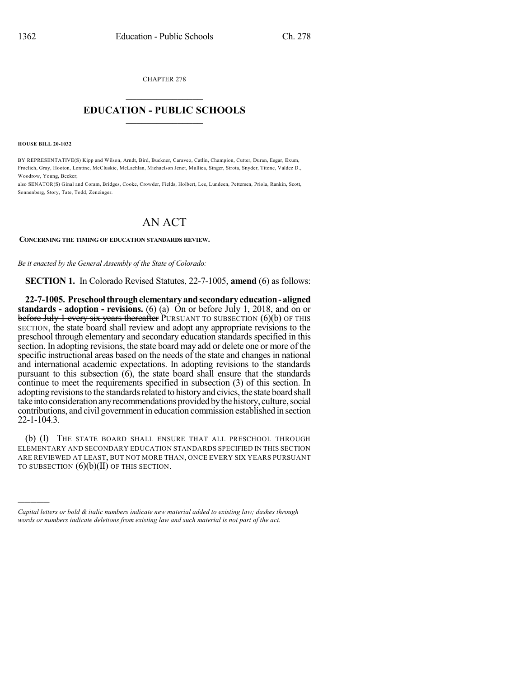CHAPTER 278  $\overline{\phantom{a}}$  . The set of the set of the set of the set of the set of the set of the set of the set of the set of the set of the set of the set of the set of the set of the set of the set of the set of the set of the set o

## **EDUCATION - PUBLIC SCHOOLS**  $\_$   $\_$   $\_$   $\_$   $\_$   $\_$   $\_$   $\_$   $\_$

**HOUSE BILL 20-1032**

)))))

BY REPRESENTATIVE(S) Kipp and Wilson, Arndt, Bird, Buckner, Caraveo, Catlin, Champion, Cutter, Duran, Esgar, Exum, Froelich, Gray, Hooton, Lontine, McCluskie, McLachlan, Michaelson Jenet, Mullica, Singer, Sirota, Snyder, Titone, Valdez D., Woodrow, Young, Becker;

also SENATOR(S) Ginal and Coram, Bridges, Cooke, Crowder, Fields, Holbert, Lee, Lundeen, Pettersen, Priola, Rankin, Scott, Sonnenberg, Story, Tate, Todd, Zenzinger.

## AN ACT

## **CONCERNING THE TIMING OF EDUCATION STANDARDS REVIEW.**

*Be it enacted by the General Assembly of the State of Colorado:*

**SECTION 1.** In Colorado Revised Statutes, 22-7-1005, **amend** (6) as follows:

**22-7-1005. Preschoolthroughelementaryandsecondary education- aligned standards - adoption - revisions.** (6) (a) On or before July 1, 2018, and on or **before July 1 every six years thereafter PURSUANT TO SUBSECTION (6)(b) OF THIS** SECTION, the state board shall review and adopt any appropriate revisions to the preschool through elementary and secondary education standards specified in this section. In adopting revisions, the state board may add or delete one or more of the specific instructional areas based on the needs of the state and changes in national and international academic expectations. In adopting revisions to the standards pursuant to this subsection  $(6)$ , the state board shall ensure that the standards continue to meet the requirements specified in subsection (3) of this section. In adopting revisions to the standards related to history and civics, the state board shall take into consideration any recommendations provided by the history, culture, social contributions, and civil government in education commission established in section 22-1-104.3.

(b) (I) THE STATE BOARD SHALL ENSURE THAT ALL PRESCHOOL THROUGH ELEMENTARY AND SECONDARY EDUCATION STANDARDS SPECIFIED IN THIS SECTION ARE REVIEWED AT LEAST, BUT NOT MORE THAN, ONCE EVERY SIX YEARS PURSUANT TO SUBSECTION  $(6)(b)(II)$  OF THIS SECTION.

*Capital letters or bold & italic numbers indicate new material added to existing law; dashes through words or numbers indicate deletions from existing law and such material is not part of the act.*